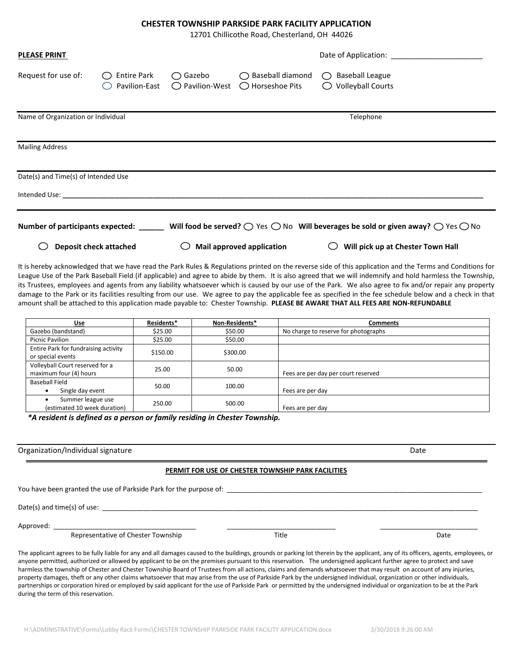#### **CHESTER TOWNSHIP PARKSIDE PARK FACILITY APPLICATION**

12701 Chillicothe Road, Chesterland, OH 44026

| <b>PLEASE PRINT</b>                 |                                     |                                      |                                                          |                                                                                                                                                                                                                                                                                                                                                                                                                                                                                     |  |  |
|-------------------------------------|-------------------------------------|--------------------------------------|----------------------------------------------------------|-------------------------------------------------------------------------------------------------------------------------------------------------------------------------------------------------------------------------------------------------------------------------------------------------------------------------------------------------------------------------------------------------------------------------------------------------------------------------------------|--|--|
| Request for use of:                 | <b>Entire Park</b><br>Pavilion-East | $\bigcirc$ Gazebo<br>◯ Pavilion-West | $\bigcirc$ Baseball diamond<br>$\bigcirc$ Horseshoe Pits | $\bigcirc$ Baseball League<br>$\bigcirc$ Volleyball Courts                                                                                                                                                                                                                                                                                                                                                                                                                          |  |  |
| Name of Organization or Individual  |                                     |                                      |                                                          | Telephone                                                                                                                                                                                                                                                                                                                                                                                                                                                                           |  |  |
| <b>Mailing Address</b>              |                                     |                                      |                                                          |                                                                                                                                                                                                                                                                                                                                                                                                                                                                                     |  |  |
| Date(s) and Time(s) of Intended Use |                                     |                                      |                                                          |                                                                                                                                                                                                                                                                                                                                                                                                                                                                                     |  |  |
|                                     |                                     |                                      |                                                          | Number of participants expected: Will food be served? $\bigcirc$ Yes $\bigcirc$ No Will beverages be sold or given away? $\bigcirc$ Yes $\bigcirc$ No                                                                                                                                                                                                                                                                                                                               |  |  |
|                                     | Deposit check attached              |                                      | Mail approved application                                | Will pick up at Chester Town Hall                                                                                                                                                                                                                                                                                                                                                                                                                                                   |  |  |
|                                     |                                     |                                      |                                                          | It is hereby acknowledged that we have read the Park Rules & Regulations printed on the reverse side of this application and the Terms and Conditions for<br>League Use of the Park Baseball Field (if applicable) and agree to abide by them. It is also agreed that we will indemnify and hold harmless the Township,<br>its Trustees, employees and agents from any liability whatsoever which is caused by our use of the Park. We also agree to fix and/or repair any property |  |  |

damage to the Park or its facilities resulting from our use. We agree to pay the applicable fee as specified in the fee schedule below and a check in that amount shall be attached to this application made payable to: Chester Township. **PLEASE BE AWARE THAT ALL FEES ARE NON-REFUNDABLE Use Residents\* Non-Residents\* Comments** Gazebo (bandstand) \$25.00 \$50.00 No charge to reserve for photographs Picnic Pavilion **198.00** \$25.00 \$50.00 Entire Park for fundraising activity entifie Park for fundraising activity<br>or special events  $\begin{array}{ccc} 5150.00 \\ \end{array}$  \$300.00 Volleyball Court reserved for a maximum four (4) hours **25.00** 25.00 50.00 Fees are per day per court reserved Baseball Field • Single day event 50.00 50.00 100.00 Fees are per day • Summer league use • Summer league use 250.00 500.00 Fees are per day

 *\*A resident is defined as a person or family residing in Chester Township.* 

Organization/Individual signature data control of the control of the control of the control of the control of the control of the control of the control of the control of the control of the control of the control of the con

## **PERMIT FOR USE OF CHESTER TOWNSHIP PARK FACILITIES**

You have been granted the use of Parkside Park for the purpose of: \_\_\_\_\_\_\_\_\_\_\_\_\_\_\_\_\_\_\_\_\_\_\_\_\_\_\_\_\_\_\_\_\_\_\_\_\_\_\_\_\_\_\_\_\_\_\_\_\_\_\_\_\_\_\_\_\_\_\_\_\_\_\_\_\_\_\_\_

Date(s) and time(s) of use:  $\frac{1}{2}$   $\frac{1}{2}$ 

Approved: \_\_\_\_\_\_\_\_\_\_\_\_\_\_\_\_\_\_\_\_\_\_\_\_\_\_\_\_\_\_\_\_\_\_\_\_\_\_ \_\_\_\_\_\_\_\_\_\_\_\_\_\_\_\_\_\_\_\_\_\_\_\_\_\_\_\_\_ \_\_\_\_\_\_\_\_\_\_\_\_\_\_\_\_\_\_\_\_\_\_\_\_\_\_

Representative of Chester Township **New Strategies and Title Chester Township** Date

The applicant agrees to be fully liable for any and all damages caused to the buildings, grounds or parking lot therein by the applicant, any of its officers, agents, employees, or anyone permitted, authorized or allowed by applicant to be on the premises pursuant to this reservation. The undersigned applicant further agree to protect and save harmless the township of Chester and Chester Township Board of Trustees from all actions, claims and demands whatsoever that may result on account of any injuries, property damages, theft or any other claims whatsoever that may arise from the use of Parkside Park by the undersigned individual, organization or other individuals, partnerships or corporation hired or employed by said applicant for the use of Parkside Park or permitted by the undersigned individual or organization to be at the Park during the term of this reservation.